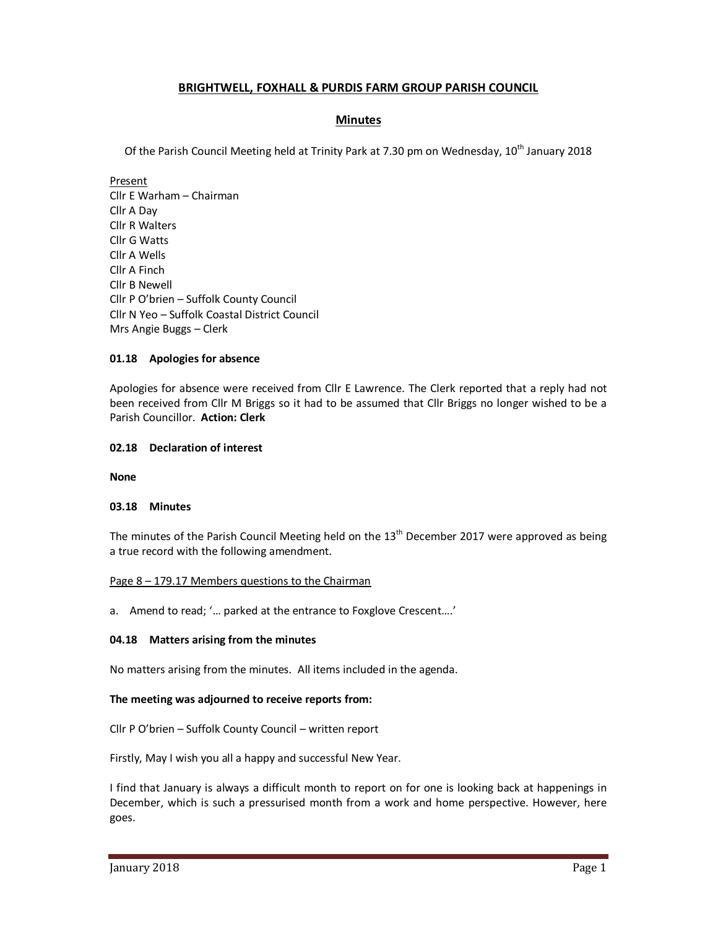# **BRIGHTWELL, FOXHALL & PURDIS FARM GROUP PARISH COUNCIL**

## **Minutes**

Of the Parish Council Meeting held at Trinity Park at 7.30 pm on Wednesday, 10<sup>th</sup> January 2018

Present Cllr E Warham – Chairman Cllr A Day Cllr R Walters Cllr G Watts Cllr A Wells Cllr A Finch Cllr B Newell Cllr P O'brien – Suffolk County Council Cllr N Yeo – Suffolk Coastal District Council Mrs Angie Buggs – Clerk

## **01.18 Apologies for absence**

Apologies for absence were received from Cllr E Lawrence. The Clerk reported that a reply had not been received from Cllr M Briggs so it had to be assumed that Cllr Briggs no longer wished to be a Parish Councillor. **Action: Clerk** 

### **02.18 Declaration of interest**

**None** 

### **03.18 Minutes**

The minutes of the Parish Council Meeting held on the  $13<sup>th</sup>$  December 2017 were approved as being a true record with the following amendment.

### Page 8 – 179.17 Members questions to the Chairman

a. Amend to read; '… parked at the entrance to Foxglove Crescent….'

### **04.18 Matters arising from the minutes**

No matters arising from the minutes. All items included in the agenda.

### **The meeting was adjourned to receive reports from:**

Cllr P O'brien – Suffolk County Council – written report

Firstly, May I wish you all a happy and successful New Year.

I find that January is always a difficult month to report on for one is looking back at happenings in December, which is such a pressurised month from a work and home perspective. However, here goes.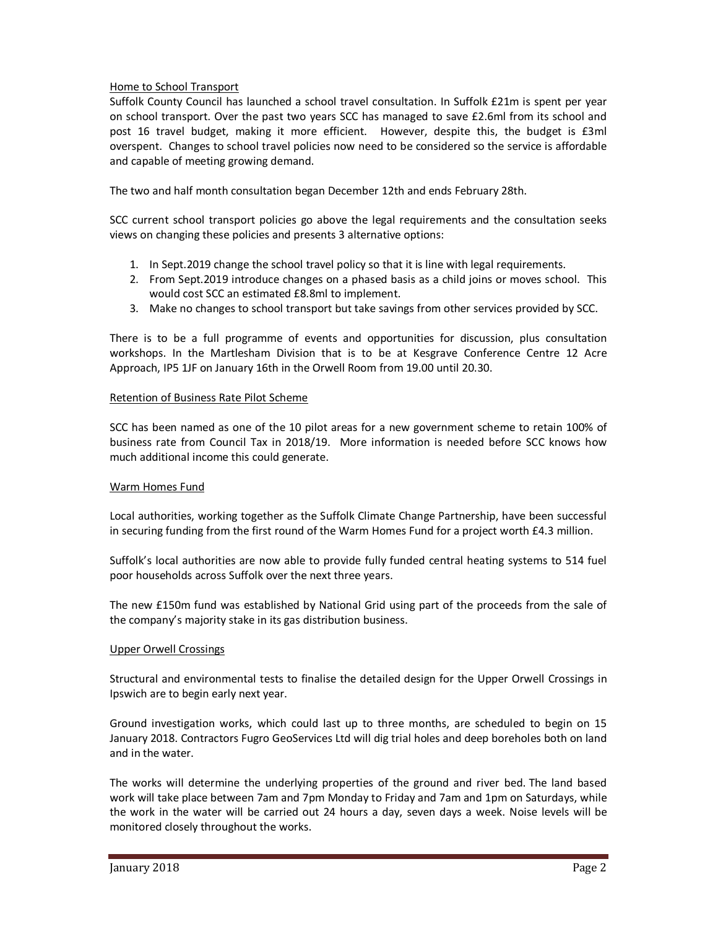## Home to School Transport

Suffolk County Council has launched a school travel consultation. In Suffolk £21m is spent per year on school transport. Over the past two years SCC has managed to save £2.6ml from its school and post 16 travel budget, making it more efficient. However, despite this, the budget is £3ml overspent. Changes to school travel policies now need to be considered so the service is affordable and capable of meeting growing demand.

The two and half month consultation began December 12th and ends February 28th.

SCC current school transport policies go above the legal requirements and the consultation seeks views on changing these policies and presents 3 alternative options:

- 1. In Sept.2019 change the school travel policy so that it is line with legal requirements.
- 2. From Sept.2019 introduce changes on a phased basis as a child joins or moves school. This would cost SCC an estimated £8.8ml to implement.
- 3. Make no changes to school transport but take savings from other services provided by SCC.

There is to be a full programme of events and opportunities for discussion, plus consultation workshops. In the Martlesham Division that is to be at Kesgrave Conference Centre 12 Acre Approach, IP5 1JF on January 16th in the Orwell Room from 19.00 until 20.30.

### Retention of Business Rate Pilot Scheme

SCC has been named as one of the 10 pilot areas for a new government scheme to retain 100% of business rate from Council Tax in 2018/19. More information is needed before SCC knows how much additional income this could generate.

### Warm Homes Fund

Local authorities, working together as the Suffolk Climate Change Partnership, have been successful in securing funding from the first round of the Warm Homes Fund for a project worth £4.3 million.

Suffolk's local authorities are now able to provide fully funded central heating systems to 514 fuel poor households across Suffolk over the next three years.

The new £150m fund was established by National Grid using part of the proceeds from the sale of the company's majority stake in its gas distribution business.

### Upper Orwell Crossings

Structural and environmental tests to finalise the detailed design for the Upper Orwell Crossings in Ipswich are to begin early next year.

Ground investigation works, which could last up to three months, are scheduled to begin on 15 January 2018. Contractors Fugro GeoServices Ltd will dig trial holes and deep boreholes both on land and in the water.

The works will determine the underlying properties of the ground and river bed. The land based work will take place between 7am and 7pm Monday to Friday and 7am and 1pm on Saturdays, while the work in the water will be carried out 24 hours a day, seven days a week. Noise levels will be monitored closely throughout the works.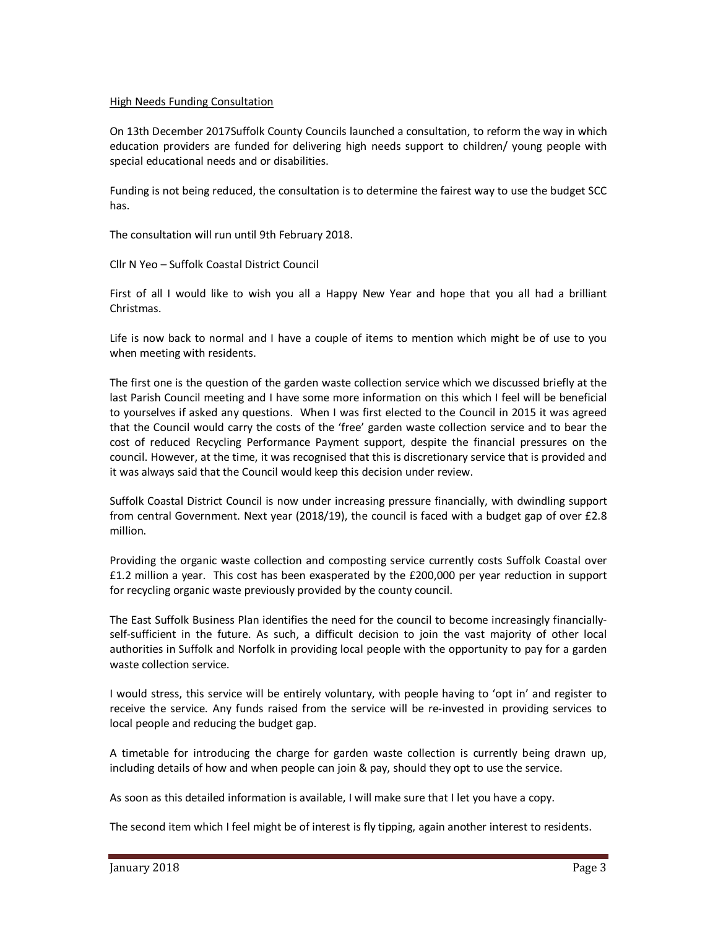### High Needs Funding Consultation

On 13th December 2017Suffolk County Councils launched a consultation, to reform the way in which education providers are funded for delivering high needs support to children/ young people with special educational needs and or disabilities.

Funding is not being reduced, the consultation is to determine the fairest way to use the budget SCC has.

The consultation will run until 9th February 2018.

Cllr N Yeo – Suffolk Coastal District Council

First of all I would like to wish you all a Happy New Year and hope that you all had a brilliant Christmas.

Life is now back to normal and I have a couple of items to mention which might be of use to you when meeting with residents.

The first one is the question of the garden waste collection service which we discussed briefly at the last Parish Council meeting and I have some more information on this which I feel will be beneficial to yourselves if asked any questions. When I was first elected to the Council in 2015 it was agreed that the Council would carry the costs of the 'free' garden waste collection service and to bear the cost of reduced Recycling Performance Payment support, despite the financial pressures on the council. However, at the time, it was recognised that this is discretionary service that is provided and it was always said that the Council would keep this decision under review.

Suffolk Coastal District Council is now under increasing pressure financially, with dwindling support from central Government. Next year (2018/19), the council is faced with a budget gap of over £2.8 million.

Providing the organic waste collection and composting service currently costs Suffolk Coastal over £1.2 million a year. This cost has been exasperated by the £200,000 per year reduction in support for recycling organic waste previously provided by the county council.

The East Suffolk Business Plan identifies the need for the council to become increasingly financiallyself-sufficient in the future. As such, a difficult decision to join the vast majority of other local authorities in Suffolk and Norfolk in providing local people with the opportunity to pay for a garden waste collection service.

I would stress, this service will be entirely voluntary, with people having to 'opt in' and register to receive the service. Any funds raised from the service will be re-invested in providing services to local people and reducing the budget gap.

A timetable for introducing the charge for garden waste collection is currently being drawn up, including details of how and when people can join & pay, should they opt to use the service.

As soon as this detailed information is available, I will make sure that I let you have a copy.

The second item which I feel might be of interest is fly tipping, again another interest to residents.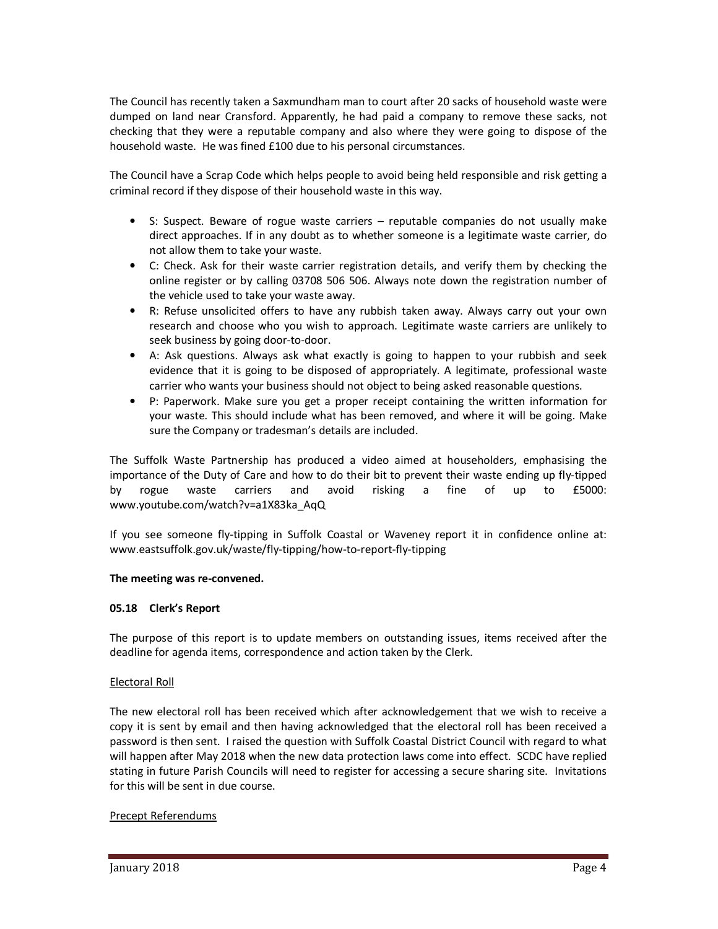The Council has recently taken a Saxmundham man to court after 20 sacks of household waste were dumped on land near Cransford. Apparently, he had paid a company to remove these sacks, not checking that they were a reputable company and also where they were going to dispose of the household waste. He was fined £100 due to his personal circumstances.

The Council have a Scrap Code which helps people to avoid being held responsible and risk getting a criminal record if they dispose of their household waste in this way.

- S: Suspect. Beware of rogue waste carriers reputable companies do not usually make direct approaches. If in any doubt as to whether someone is a legitimate waste carrier, do not allow them to take your waste.
- C: Check. Ask for their waste carrier registration details, and verify them by checking the online register or by calling 03708 506 506. Always note down the registration number of the vehicle used to take your waste away.
- R: Refuse unsolicited offers to have any rubbish taken away. Always carry out your own research and choose who you wish to approach. Legitimate waste carriers are unlikely to seek business by going door-to-door.
- A: Ask questions. Always ask what exactly is going to happen to your rubbish and seek evidence that it is going to be disposed of appropriately. A legitimate, professional waste carrier who wants your business should not object to being asked reasonable questions.
- P: Paperwork. Make sure you get a proper receipt containing the written information for your waste. This should include what has been removed, and where it will be going. Make sure the Company or tradesman's details are included.

The Suffolk Waste Partnership has produced a video aimed at householders, emphasising the importance of the Duty of Care and how to do their bit to prevent their waste ending up fly-tipped by rogue waste carriers and avoid risking a fine of up to £5000: www.youtube.com/watch?v=a1X83ka\_AqQ

If you see someone fly-tipping in Suffolk Coastal or Waveney report it in confidence online at: www.eastsuffolk.gov.uk/waste/fly-tipping/how-to-report-fly-tipping

## **The meeting was re-convened.**

### **05.18 Clerk's Report**

The purpose of this report is to update members on outstanding issues, items received after the deadline for agenda items, correspondence and action taken by the Clerk.

### Electoral Roll

The new electoral roll has been received which after acknowledgement that we wish to receive a copy it is sent by email and then having acknowledged that the electoral roll has been received a password is then sent. I raised the question with Suffolk Coastal District Council with regard to what will happen after May 2018 when the new data protection laws come into effect. SCDC have replied stating in future Parish Councils will need to register for accessing a secure sharing site. Invitations for this will be sent in due course.

## Precept Referendums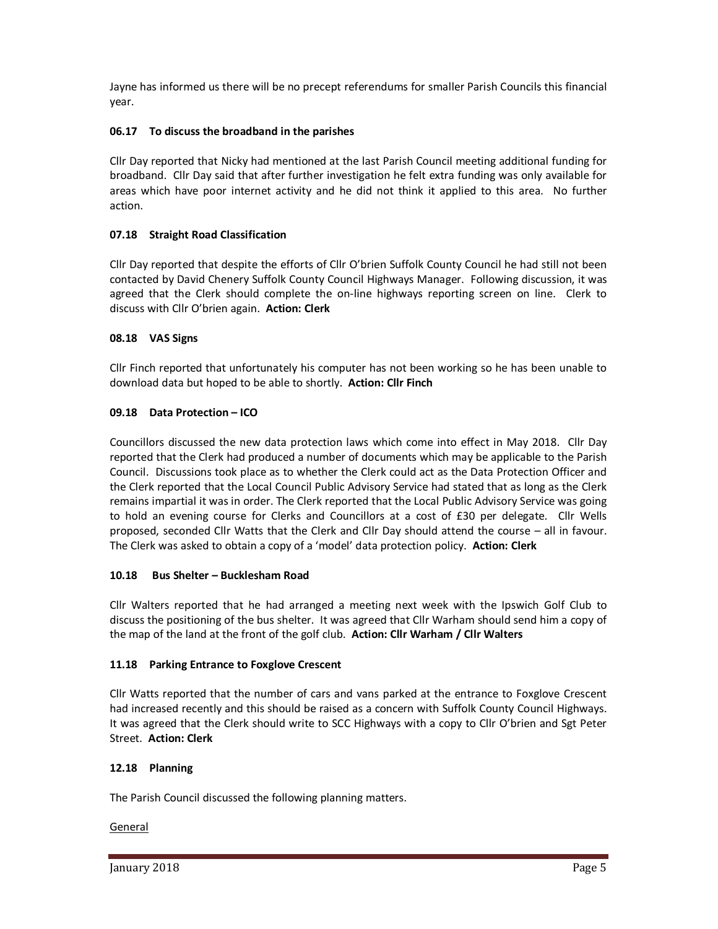Jayne has informed us there will be no precept referendums for smaller Parish Councils this financial year.

# **06.17 To discuss the broadband in the parishes**

Cllr Day reported that Nicky had mentioned at the last Parish Council meeting additional funding for broadband. Cllr Day said that after further investigation he felt extra funding was only available for areas which have poor internet activity and he did not think it applied to this area. No further action.

## **07.18 Straight Road Classification**

Cllr Day reported that despite the efforts of Cllr O'brien Suffolk County Council he had still not been contacted by David Chenery Suffolk County Council Highways Manager. Following discussion, it was agreed that the Clerk should complete the on-line highways reporting screen on line. Clerk to discuss with Cllr O'brien again. **Action: Clerk** 

# **08.18 VAS Signs**

Cllr Finch reported that unfortunately his computer has not been working so he has been unable to download data but hoped to be able to shortly. **Action: Cllr Finch** 

# **09.18 Data Protection – ICO**

Councillors discussed the new data protection laws which come into effect in May 2018. Cllr Day reported that the Clerk had produced a number of documents which may be applicable to the Parish Council. Discussions took place as to whether the Clerk could act as the Data Protection Officer and the Clerk reported that the Local Council Public Advisory Service had stated that as long as the Clerk remains impartial it was in order. The Clerk reported that the Local Public Advisory Service was going to hold an evening course for Clerks and Councillors at a cost of £30 per delegate. Cllr Wells proposed, seconded Cllr Watts that the Clerk and Cllr Day should attend the course – all in favour. The Clerk was asked to obtain a copy of a 'model' data protection policy. **Action: Clerk** 

## **10.18 Bus Shelter – Bucklesham Road**

Cllr Walters reported that he had arranged a meeting next week with the Ipswich Golf Club to discuss the positioning of the bus shelter. It was agreed that Cllr Warham should send him a copy of the map of the land at the front of the golf club. **Action: Cllr Warham / Cllr Walters** 

## **11.18 Parking Entrance to Foxglove Crescent**

Cllr Watts reported that the number of cars and vans parked at the entrance to Foxglove Crescent had increased recently and this should be raised as a concern with Suffolk County Council Highways. It was agreed that the Clerk should write to SCC Highways with a copy to Cllr O'brien and Sgt Peter Street. **Action: Clerk** 

## **12.18 Planning**

The Parish Council discussed the following planning matters.

## General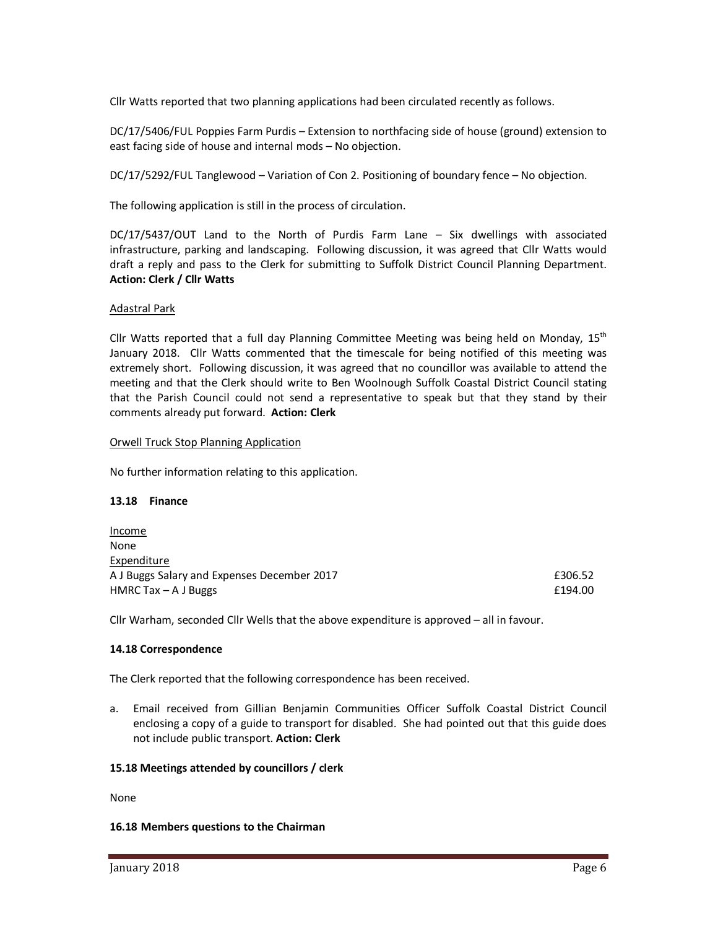Cllr Watts reported that two planning applications had been circulated recently as follows.

DC/17/5406/FUL Poppies Farm Purdis – Extension to northfacing side of house (ground) extension to east facing side of house and internal mods – No objection.

DC/17/5292/FUL Tanglewood – Variation of Con 2. Positioning of boundary fence – No objection.

The following application is still in the process of circulation.

DC/17/5437/OUT Land to the North of Purdis Farm Lane – Six dwellings with associated infrastructure, parking and landscaping. Following discussion, it was agreed that Cllr Watts would draft a reply and pass to the Clerk for submitting to Suffolk District Council Planning Department. **Action: Clerk / Cllr Watts** 

### Adastral Park

Cllr Watts reported that a full day Planning Committee Meeting was being held on Monday,  $15<sup>th</sup>$ January 2018. Cllr Watts commented that the timescale for being notified of this meeting was extremely short. Following discussion, it was agreed that no councillor was available to attend the meeting and that the Clerk should write to Ben Woolnough Suffolk Coastal District Council stating that the Parish Council could not send a representative to speak but that they stand by their comments already put forward. **Action: Clerk**

#### Orwell Truck Stop Planning Application

No further information relating to this application.

#### **13.18 Finance**

Income None Expenditure A J Buggs Salary and Expenses December 2017 **EXPENSION CONSTRANT RESOURCE** HMRC Tax – A J Buggs  $\qquad 194.00$ 

Cllr Warham, seconded Cllr Wells that the above expenditure is approved – all in favour.

### **14.18 Correspondence**

The Clerk reported that the following correspondence has been received.

a. Email received from Gillian Benjamin Communities Officer Suffolk Coastal District Council enclosing a copy of a guide to transport for disabled. She had pointed out that this guide does not include public transport. **Action: Clerk**

### **15.18 Meetings attended by councillors / clerk**

None

### **16.18 Members questions to the Chairman**